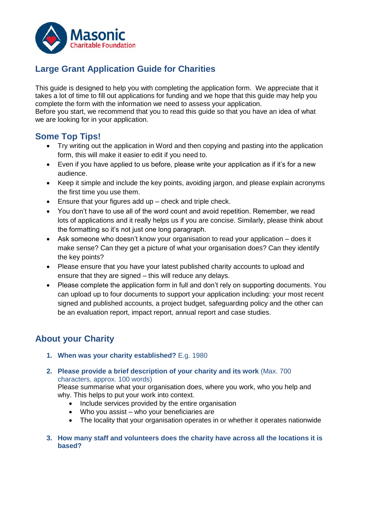

# **Large Grant Application Guide for Charities**

This guide is designed to help you with completing the application form. We appreciate that it takes a lot of time to fill out applications for funding and we hope that this guide may help you complete the form with the information we need to assess your application.

Before you start, we recommend that you to read this guide so that you have an idea of what we are looking for in your application.

# **Some Top Tips!**

- Try writing out the application in Word and then copying and pasting into the application form, this will make it easier to edit if you need to.
- Even if you have applied to us before, please write your application as if it's for a new audience.
- Keep it simple and include the key points, avoiding jargon, and please explain acronyms the first time you use them.
- Ensure that your figures add up check and triple check.
- You don't have to use all of the word count and avoid repetition. Remember, we read lots of applications and it really helps us if you are concise. Similarly, please think about the formatting so it's not just one long paragraph.
- Ask someone who doesn't know your organisation to read your application does it make sense? Can they get a picture of what your organisation does? Can they identify the key points?
- Please ensure that you have your latest published charity accounts to upload and ensure that they are signed – this will reduce any delays.
- Please complete the application form in full and don't rely on supporting documents. You can upload up to four documents to support your application including: your most recent signed and published accounts, a project budget, safeguarding policy and the other can be an evaluation report, impact report, annual report and case studies.

# **About your Charity**

- **1. When was your charity established?** E.g. 1980
- **2. Please provide a brief description of your charity and its work** (Max. 700 characters, approx. 100 words)

Please summarise what your organisation does, where you work, who you help and why. This helps to put your work into context.

- Include services provided by the entire organisation
- Who you assist who your beneficiaries are
- The locality that your organisation operates in or whether it operates nationwide
- **3. How many staff and volunteers does the charity have across all the locations it is based?**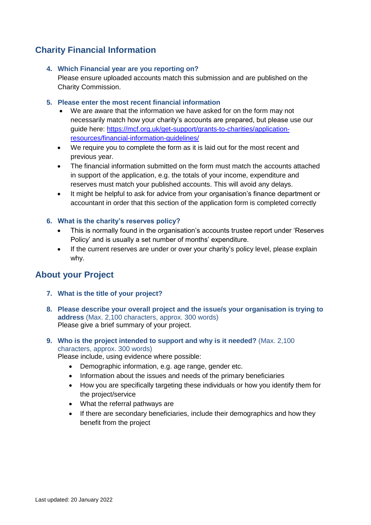# **Charity Financial Information**

## **4. Which Financial year are you reporting on?**

Please ensure uploaded accounts match this submission and are published on the Charity Commission.

## **5. Please enter the most recent financial information**

- We are aware that the information we have asked for on the form may not necessarily match how your charity's accounts are prepared, but please use our guide here: [https://mcf.org.uk/get-support/grants-to-charities/application](https://mcf.org.uk/get-support/grants-to-charities/application-resources/financial-information-guidelines/)[resources/financial-information-guidelines/](https://mcf.org.uk/get-support/grants-to-charities/application-resources/financial-information-guidelines/)
- We require you to complete the form as it is laid out for the most recent and previous year.
- The financial information submitted on the form must match the accounts attached in support of the application, e.g. the totals of your income, expenditure and reserves must match your published accounts. This will avoid any delays.
- It might be helpful to ask for advice from your organisation's finance department or accountant in order that this section of the application form is completed correctly

## **6. What is the charity's reserves policy?**

- This is normally found in the organisation's accounts trustee report under 'Reserves Policy' and is usually a set number of months' expenditure.
- If the current reserves are under or over your charity's policy level, please explain why.

# **About your Project**

- **7. What is the title of your project?**
- **8. Please describe your overall project and the issue/s your organisation is trying to address** (Max. 2,100 characters, approx. 300 words) Please give a brief summary of your project.
- **9. Who is the project intended to support and why is it needed?** (Max. 2,100 characters, approx. 300 words)

Please include, using evidence where possible:

- Demographic information, e.g. age range, gender etc.
- Information about the issues and needs of the primary beneficiaries
- How you are specifically targeting these individuals or how you identify them for the project/service
- What the referral pathways are
- If there are secondary beneficiaries, include their demographics and how they benefit from the project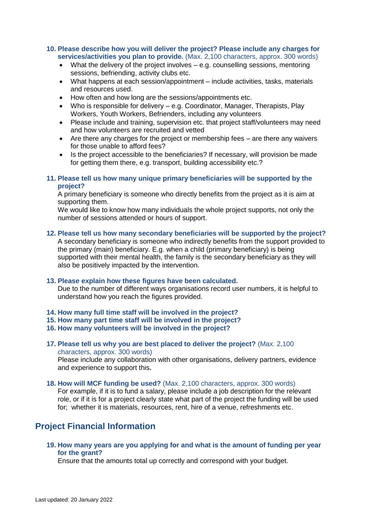#### **10. Please describe how you will deliver the project? Please include any charges for services/activities you plan to provide.** (Max. 2,100 characters, approx. 300 words)

- What the delivery of the project involves e.g. counselling sessions, mentoring sessions, befriending, activity clubs etc.
- What happens at each session/appointment include activities, tasks, materials and resources used.
- How often and how long are the sessions/appointments etc.
- Who is responsible for delivery e.g. Coordinator, Manager, Therapists, Play Workers, Youth Workers, Befrienders, including any volunteers
- Please include and training, supervision etc. that project staff/volunteers may need and how volunteers are recruited and vetted
- Are there any charges for the project or membership fees are there any waivers for those unable to afford fees?
- Is the project accessible to the beneficiaries? If necessary, will provision be made for getting them there, e.g. transport, building accessibility etc.?

### **11. Please tell us how many unique primary beneficiaries will be supported by the project?**

A primary beneficiary is someone who directly benefits from the project as it is aim at supporting them.

We would like to know how many individuals the whole project supports, not only the number of sessions attended or hours of support.

### **12. Please tell us how many secondary beneficiaries will be supported by the project?**

A secondary beneficiary is someone who indirectly benefits from the support provided to the primary (main) beneficiary. E.g. when a child (primary beneficiary) is being supported with their mental health, the family is the secondary beneficiary as they will also be positively impacted by the intervention.

#### **13. Please explain how these figures have been calculated.**

Due to the number of different ways organisations record user numbers, it is helpful to understand how you reach the figures provided.

- **14. How many full time staff will be involved in the project?**
- **15. How many part time staff will be involved in the project?**
- **16. How many volunteers will be involved in the project?**
- **17. Please tell us why you are best placed to deliver the project?** (Max. 2,100 characters, approx. 300 words)

Please include any collaboration with other organisations, delivery partners, evidence and experience to support this**.**

**18. How will MCF funding be used?** (Max. 2,100 characters, approx. 300 words) For example, if it is to fund a salary, please include a job description for the relevant role, or if it is for a project clearly state what part of the project the funding will be used for; whether it is materials, resources, rent, hire of a venue, refreshments etc.

# **Project Financial Information**

**19. How many years are you applying for and what is the amount of funding per year for the grant?**

Ensure that the amounts total up correctly and correspond with your budget.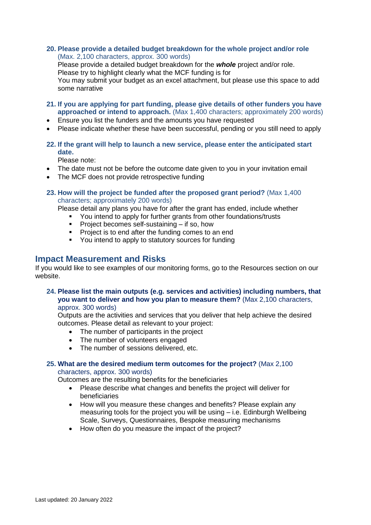**20. Please provide a detailed budget breakdown for the whole project and/or role** (Max. 2,100 characters, approx. 300 words)

Please provide a detailed budget breakdown for the *whole* project and/or role. Please try to highlight clearly what the MCF funding is for You may submit your budget as an excel attachment, but please use this space to add some narrative

- **21. If you are applying for part funding, please give details of other funders you have approached or intend to approach.** (Max 1,400 characters; approximately 200 words)
- Ensure you list the funders and the amounts you have requested
- Please indicate whether these have been successful, pending or you still need to apply
- **22. If the grant will help to launch a new service, please enter the anticipated start date.**

Please note:

- The date must not be before the outcome date given to you in your invitation email
- The MCF does not provide retrospective funding
- **23. How will the project be funded after the proposed grant period?** (Max 1,400 characters; approximately 200 words)

Please detail any plans you have for after the grant has ended, include whether

- You intend to apply for further grants from other foundations/trusts
	- Project becomes self-sustaining  $-$  if so, how
- **Project is to end after the funding comes to an end**
- You intend to apply to statutory sources for funding

# **Impact Measurement and Risks**

If you would like to see examples of our monitoring forms, go to the Resources section on our website.

#### **24. Please list the main outputs (e.g. services and activities) including numbers, that you want to deliver and how you plan to measure them?** (Max 2,100 characters, approx. 300 words)

Outputs are the activities and services that you deliver that help achieve the desired outcomes. Please detail as relevant to your project:

- The number of participants in the project
- The number of volunteers engaged
- The number of sessions delivered, etc.

## **25. What are the desired medium term outcomes for the project?** (Max 2,100 characters, approx. 300 words)

Outcomes are the resulting benefits for the beneficiaries

- Please describe what changes and benefits the project will deliver for beneficiaries
- How will you measure these changes and benefits? Please explain any measuring tools for the project you will be using – i.e. Edinburgh Wellbeing Scale, Surveys, Questionnaires, Bespoke measuring mechanisms
- How often do you measure the impact of the project?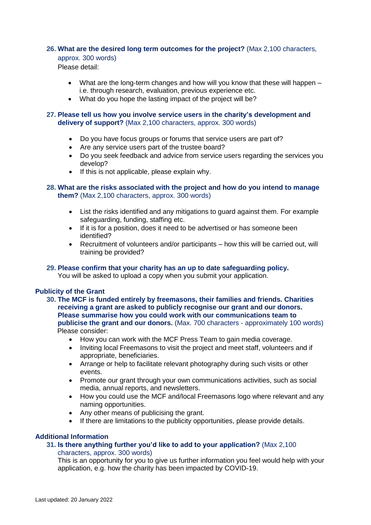#### **26. What are the desired long term outcomes for the project?** (Max 2,100 characters,

approx. 300 words)

Please detail:

- What are the long-term changes and how will you know that these will happen i.e. through research, evaluation, previous experience etc.
- What do you hope the lasting impact of the project will be?

#### **27. Please tell us how you involve service users in the charity's development and delivery of support?** (Max 2,100 characters, approx. 300 words)

- Do you have focus groups or forums that service users are part of?
- Are any service users part of the trustee board?
- Do you seek feedback and advice from service users regarding the services you develop?
- $\bullet$  If this is not applicable, please explain why.

## **28. What are the risks associated with the project and how do you intend to manage them?** (Max 2,100 characters, approx. 300 words)

- List the risks identified and any mitigations to guard against them. For example safeguarding, funding, staffing etc.
- If it is for a position, does it need to be advertised or has someone been identified?
- Recruitment of volunteers and/or participants how this will be carried out, will training be provided?

# **29. Please confirm that your charity has an up to date safeguarding policy.**

You will be asked to upload a copy when you submit your application.

## **Publicity of the Grant**

- **30. The MCF is funded entirely by freemasons, their families and friends. Charities receiving a grant are asked to publicly recognise our grant and our donors. Please summarise how you could work with our communications team to publicise the grant and our donors.** (Max. 700 characters - approximately 100 words) Please consider:
	- How you can work with the MCF Press Team to gain media coverage.
	- Inviting local Freemasons to visit the project and meet staff, volunteers and if appropriate, beneficiaries.
	- Arrange or help to facilitate relevant photography during such visits or other events.
	- Promote our grant through your own communications activities, such as social media, annual reports, and newsletters.
	- How you could use the MCF and/local Freemasons logo where relevant and any naming opportunities.
	- Any other means of publicising the grant.
	- If there are limitations to the publicity opportunities, please provide details.

## **Additional Information**

## **31. Is there anything further you'd like to add to your application?** (Max 2,100

#### characters, approx. 300 words)

This is an opportunity for you to give us further information you feel would help with your application, e.g. how the charity has been impacted by COVID-19.